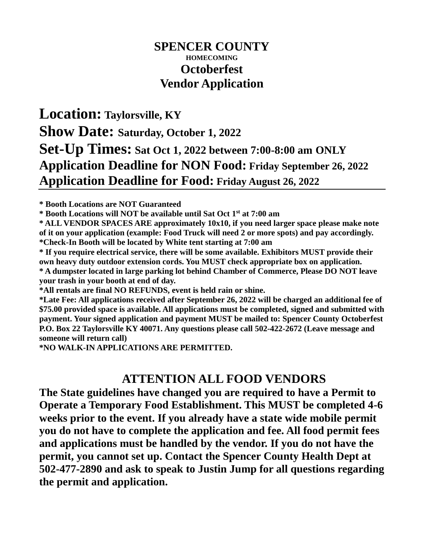## **SPENCER COUNTY HOMECOMING Octoberfest Vendor Application**

## **Location: Taylorsville, KY Show Date: Saturday, October 1, 2022 Set-Up Times: Sat Oct 1, 2022 between 7:00-8:00 am ONLY Application Deadline for NON Food: Friday September 26, 2022 Application Deadline for Food: Friday August 26, 2022**

**\* Booth Locations are NOT Guaranteed**

**\* Booth Locations will NOT be available until Sat Oct 1 st at 7:00 am**

**\* ALL VENDOR SPACES ARE approximately 10x10, if you need larger space please make note of it on your application (example: Food Truck will need 2 or more spots) and pay accordingly. \*Check-In Booth will be located by White tent starting at 7:00 am**

**\* If you require electrical service, there will be some available. Exhibitors MUST provide their own heavy duty outdoor extension cords. You MUST check appropriate box on application. \* A dumpster located in large parking lot behind Chamber of Commerce, Please DO NOT leave your trash in your booth at end of day.**

**\*All rentals are final NO REFUNDS, event is held rain or shine.**

**\*Late Fee: All applications received after September 26, 2022 will be charged an additional fee of \$75.00 provided space is available. All applications must be completed, signed and submitted with payment. Your signed application and payment MUST be mailed to: Spencer County Octoberfest P.O. Box 22 Taylorsville KY 40071. Any questions please call 502-422-2672 (Leave message and someone will return call)**

**\*NO WALK-IN APPLICATIONS ARE PERMITTED.**

## **ATTENTION ALL FOOD VENDORS**

**The State guidelines have changed you are required to have a Permit to Operate a Temporary Food Establishment. This MUST be completed 4-6 weeks prior to the event. If you already have a state wide mobile permit you do not have to complete the application and fee. All food permit fees and applications must be handled by the vendor. If you do not have the permit, you cannot set up. Contact the Spencer County Health Dept at 502-477-2890 and ask to speak to Justin Jump for all questions regarding the permit and application.**